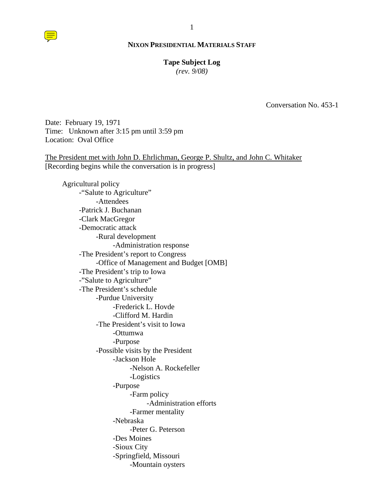### **Tape Subject Log**

*(rev. 9/08)*

Conversation No. 453-1

Date: February 19, 1971 Time: Unknown after 3:15 pm until 3:59 pm Location: Oval Office

The President met with John D. Ehrlichman, George P. Shultz, and John C. Whitaker [Recording begins while the conversation is in progress]

Agricultural policy -"Salute to Agriculture" -Attendees -Patrick J. Buchanan -Clark MacGregor -Democratic attack -Rural development -Administration response -The President's report to Congress -Office of Management and Budget [OMB] -The President's trip to Iowa -"Salute to Agriculture" -The President's schedule -Purdue University -Frederick L. Hovde -Clifford M. Hardin -The President's visit to Iowa -Ottumwa -Purpose -Possible visits by the President -Jackson Hole -Nelson A. Rockefeller -Logistics -Purpose -Farm policy -Administration efforts -Farmer mentality -Nebraska -Peter G. Peterson -Des Moines -Sioux City -Springfield, Missouri -Mountain oysters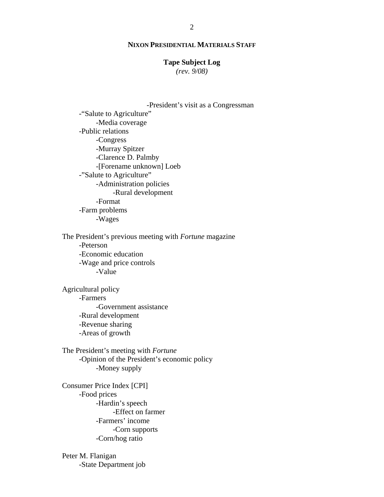# **Tape Subject Log**

*(rev. 9/08)*

-President's visit as a Congressman -"Salute to Agriculture" -Media coverage -Public relations -Congress -Murray Spitzer -Clarence D. Palmby -[Forename unknown] Loeb -"Salute to Agriculture" -Administration policies -Rural development -Format

-Farm problems -Wages

The President's previous meeting with *Fortune* magazine -Peterson -Economic education -Wage and price controls -Value

Agricultural policy -Farmers -Government assistance -Rural development -Revenue sharing -Areas of growth

The President's meeting with *Fortune* -Opinion of the President's economic policy -Money supply

Consumer Price Index [CPI] -Food prices -Hardin's speech -Effect on farmer -Farmers' income -Corn supports -Corn/hog ratio

Peter M. Flanigan -State Department job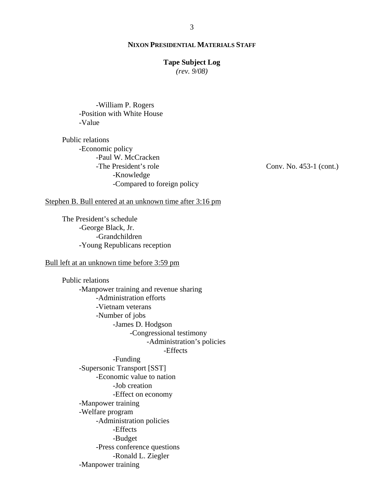# **Tape Subject Log**

*(rev. 9/08)*

-William P. Rogers -Position with White House -Value

Public relations -Economic policy -Paul W. McCracken -The President's role -Knowledge -Compared to foreign policy

Conv. No. 453-1 (cont.)

Stephen B. Bull entered at an unknown time after 3:16 pm

The President's schedule -George Black, Jr. -Grandchildren -Young Republicans reception

# Bull left at an unknown time before 3:59 pm

Public relations -Manpower training and revenue sharing -Administration efforts -Vietnam veterans -Number of jobs -James D. Hodgson -Congressional testimony -Administration's policies -Effects -Funding -Supersonic Transport [SST] -Economic value to nation -Job creation -Effect on economy -Manpower training -Welfare program -Administration policies -Effects -Budget -Press conference questions -Ronald L. Ziegler -Manpower training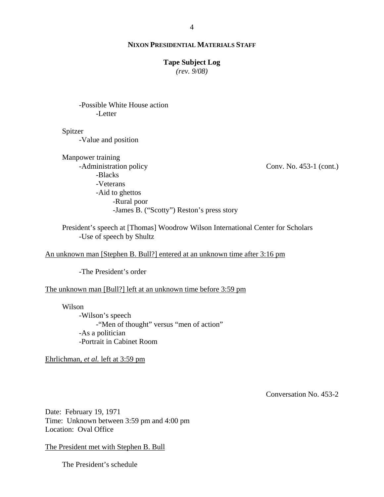# **Tape Subject Log**

*(rev. 9/08)*

-Possible White House action -Letter

Spitzer

-Value and position

Manpower training -Administration policy -Blacks -Veterans -Aid to ghettos -Rural poor -James B. ("Scotty") Reston's press story

Conv. No. 453-1 (cont.)

President's speech at [Thomas] Woodrow Wilson International Center for Scholars -Use of speech by Shultz

# An unknown man [Stephen B. Bull?] entered at an unknown time after 3:16 pm

-The President's order

#### The unknown man [Bull?] left at an unknown time before 3:59 pm

Wilson

-Wilson's speech -"Men of thought" versus "men of action" -As a politician -Portrait in Cabinet Room

Ehrlichman, *et al.* left at 3:59 pm

Conversation No. 453-2

Date: February 19, 1971 Time: Unknown between 3:59 pm and 4:00 pm Location: Oval Office

The President met with Stephen B. Bull

The President's schedule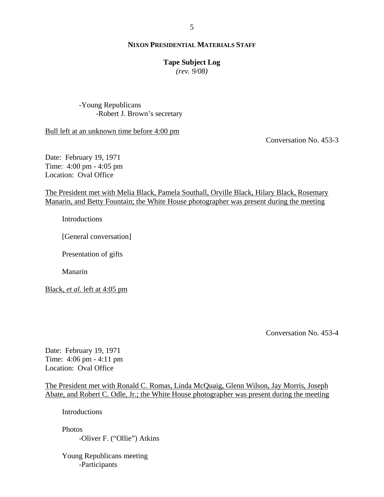# **Tape Subject Log**

*(rev. 9/08)*

-Young Republicans -Robert J. Brown's secretary

Bull left at an unknown time before 4:00 pm

Conversation No. 453-3

Date: February 19, 1971 Time: 4:00 pm - 4:05 pm Location: Oval Office

The President met with Melia Black, Pamela Southall, Orville Black, Hilary Black, Rosemary Manarin, and Betty Fountain; the White House photographer was present during the meeting

**Introductions** 

[General conversation]

Presentation of gifts

Manarin

Black, *et al.* left at 4:05 pm

Conversation No. 453-4

Date: February 19, 1971 Time: 4:06 pm - 4:11 pm Location: Oval Office

The President met with Ronald C. Romas, Linda McQuaig, Glenn Wilson, Jay Morris, Joseph Abate, and Robert C. Odle, Jr.; the White House photographer was present during the meeting

**Introductions** 

Photos -Oliver F. ("Ollie") Atkins

Young Republicans meeting -Participants